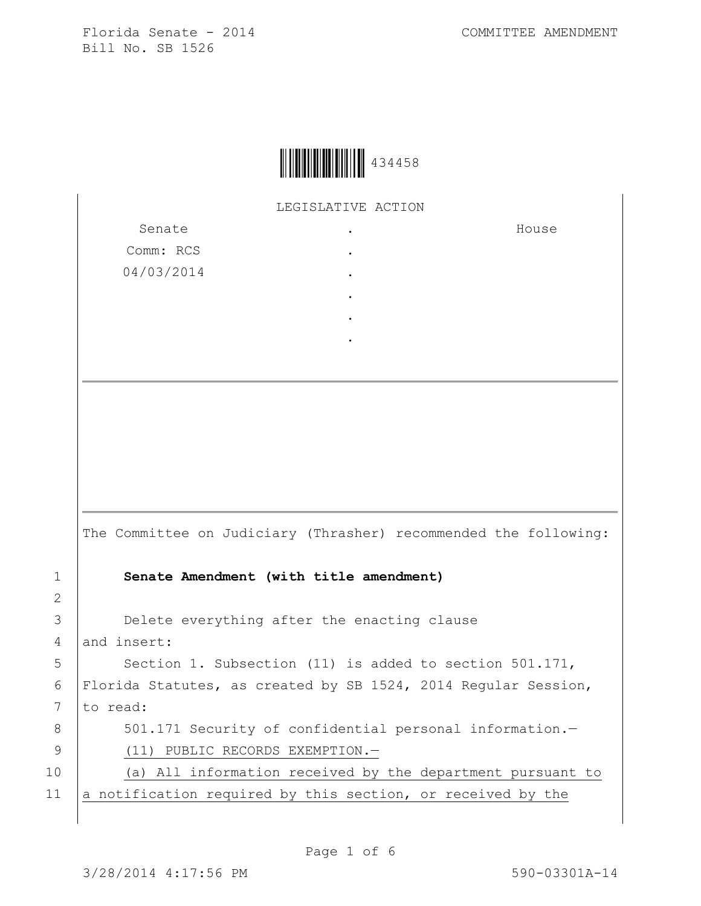

LEGISLATIVE ACTION

. . . . . .

Senate Comm: RCS 04/03/2014

House

The Committee on Judiciary (Thrasher) recommended the following: 1 **Senate Amendment (with title amendment)** 3 **Delete everything after the enacting clause** 4 and insert: 5 Section 1. Subsection (11) is added to section 501.171, 6 Florida Statutes, as created by SB 1524, 2014 Regular Session, 7 to read: 8 501.171 Security of confidential personal information.-9 (11) PUBLIC RECORDS EXEMPTION.-10 (a) All information received by the department pursuant to 11 a notification required by this section, or received by the

2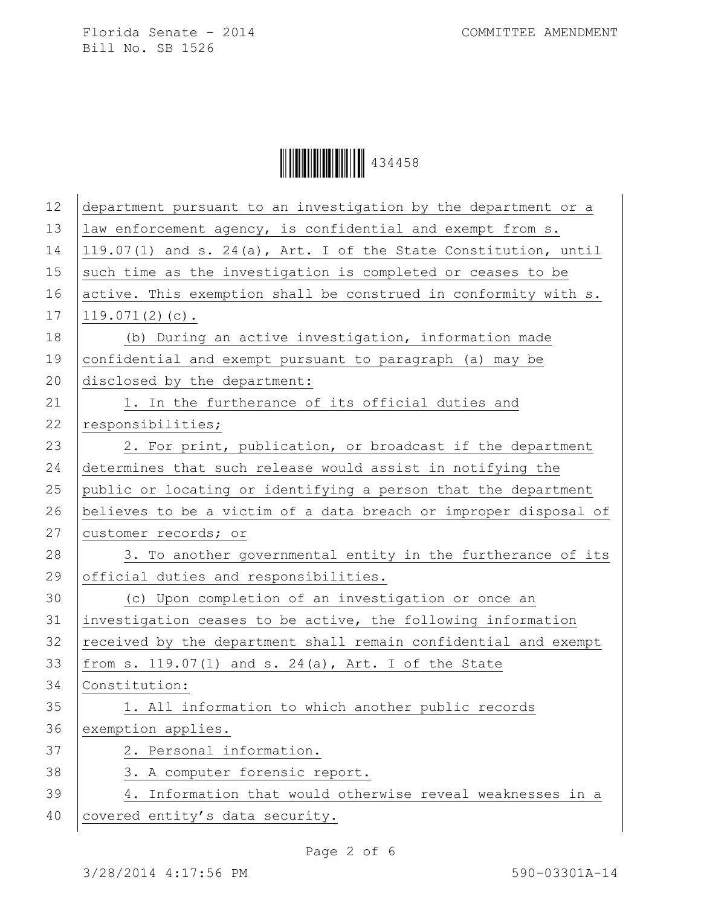Ì434458DÎ434458

| 12 | department pursuant to an investigation by the department or a   |
|----|------------------------------------------------------------------|
| 13 | law enforcement agency, is confidential and exempt from s.       |
| 14 | 119.07(1) and s. 24(a), Art. I of the State Constitution, until  |
| 15 | such time as the investigation is completed or ceases to be      |
| 16 | active. This exemption shall be construed in conformity with s.  |
| 17 | $119.071(2)(c)$ .                                                |
| 18 | (b) During an active investigation, information made             |
| 19 | confidential and exempt pursuant to paragraph (a) may be         |
| 20 | disclosed by the department:                                     |
| 21 | 1. In the furtherance of its official duties and                 |
| 22 | responsibilities;                                                |
| 23 | 2. For print, publication, or broadcast if the department        |
| 24 | determines that such release would assist in notifying the       |
| 25 | public or locating or identifying a person that the department   |
| 26 | believes to be a victim of a data breach or improper disposal of |
|    |                                                                  |
| 27 | customer records; or                                             |
| 28 | 3. To another governmental entity in the furtherance of its      |
| 29 | official duties and responsibilities.                            |
| 30 | (c) Upon completion of an investigation or once an               |
| 31 | investigation ceases to be active, the following information     |
| 32 | received by the department shall remain confidential and exempt  |
| 33 | from s. $119.07(1)$ and s. $24(a)$ , Art. I of the State         |
| 34 | Constitution:                                                    |
| 35 | 1. All information to which another public records               |
| 36 | exemption applies.                                               |
| 37 | 2. Personal information.                                         |
| 38 | 3. A computer forensic report.                                   |
| 39 | 4. Information that would otherwise reveal weaknesses in a       |
| 40 | covered entity's data security.                                  |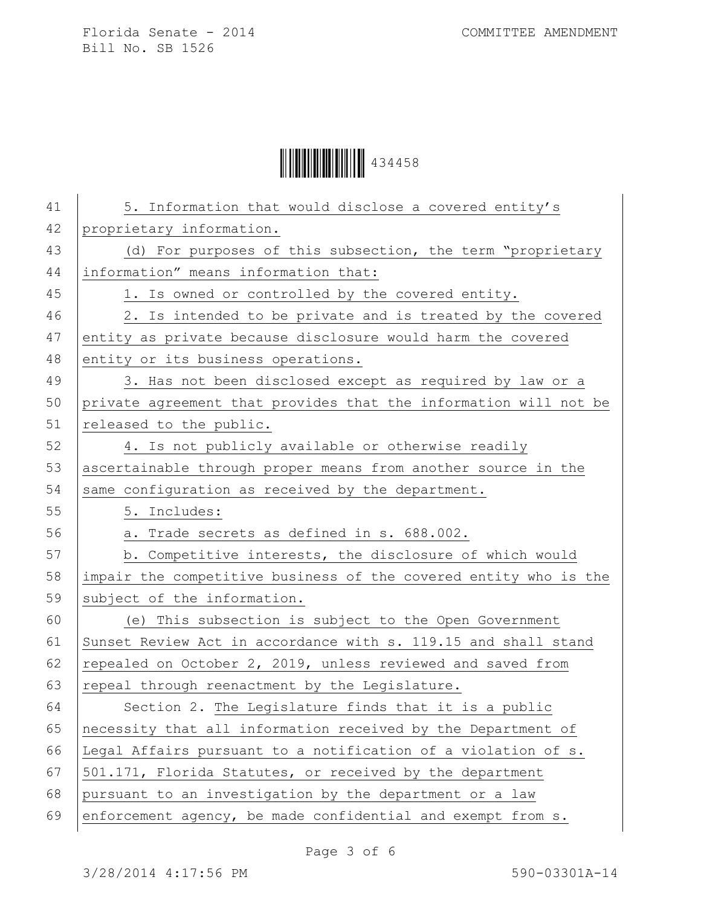Ì434458DÎ434458

| 41 | 5. Information that would disclose a covered entity's            |
|----|------------------------------------------------------------------|
| 42 | proprietary information.                                         |
| 43 | (d) For purposes of this subsection, the term "proprietary       |
| 44 | information" means information that:                             |
| 45 | 1. Is owned or controlled by the covered entity.                 |
| 46 | 2. Is intended to be private and is treated by the covered       |
| 47 | entity as private because disclosure would harm the covered      |
| 48 | entity or its business operations.                               |
| 49 | 3. Has not been disclosed except as required by law or a         |
| 50 | private agreement that provides that the information will not be |
| 51 | released to the public.                                          |
| 52 | 4. Is not publicly available or otherwise readily                |
| 53 | ascertainable through proper means from another source in the    |
| 54 | same configuration as received by the department.                |
| 55 | 5. Includes:                                                     |
| 56 | a. Trade secrets as defined in s. 688.002.                       |
| 57 | b. Competitive interests, the disclosure of which would          |
| 58 | impair the competitive business of the covered entity who is the |
| 59 | subject of the information.                                      |
| 60 | (e) This subsection is subject to the Open Government            |
| 61 | Sunset Review Act in accordance with s. 119.15 and shall stand   |
| 62 | repealed on October 2, 2019, unless reviewed and saved from      |
| 63 | repeal through reenactment by the Legislature.                   |
| 64 | Section 2. The Legislature finds that it is a public             |
| 65 | necessity that all information received by the Department of     |
| 66 | Legal Affairs pursuant to a notification of a violation of s.    |
| 67 | 501.171, Florida Statutes, or received by the department         |
| 68 | pursuant to an investigation by the department or a law          |
| 69 | enforcement agency, be made confidential and exempt from s.      |
|    |                                                                  |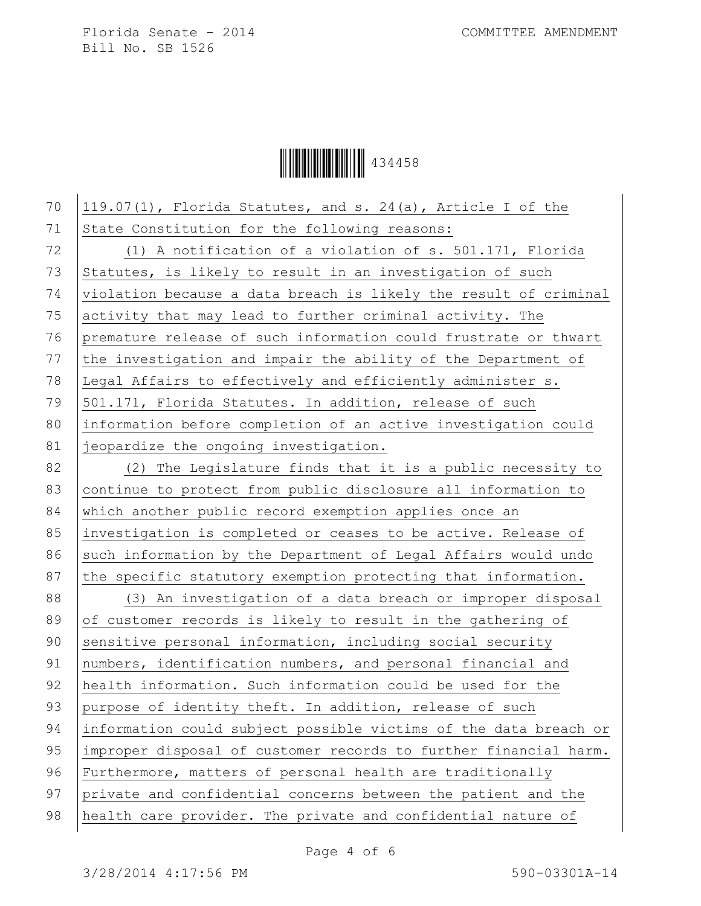**Ö** 

70  $\vert$  119.07(1), Florida Statutes, and s. 24(a), Article I of the 71 State Constitution for the following reasons: 72 (1) A notification of a violation of s. 501.171, Florida 73 Statutes, is likely to result in an investigation of such 74 violation because a data breach is likely the result of criminal 75 activity that may lead to further criminal activity. The 76 premature release of such information could frustrate or thwart 77 the investigation and impair the ability of the Department of 78 Legal Affairs to effectively and efficiently administer s. 79 501.171, Florida Statutes. In addition, release of such 80 information before completion of an active investigation could 81 *jeopardize* the ongoing investigation. 82 (2) The Legislature finds that it is a public necessity to 83 continue to protect from public disclosure all information to 84 which another public record exemption applies once an 85 | investigation is completed or ceases to be active. Release of 86 such information by the Department of Legal Affairs would undo 87 the specific statutory exemption protecting that information. 88 (3) An investigation of a data breach or improper disposal 89 of customer records is likely to result in the gathering of 90 sensitive personal information, including social security 91 numbers, identification numbers, and personal financial and 92 health information. Such information could be used for the 93 purpose of identity theft. In addition, release of such 94 information could subject possible victims of the data breach or 95 improper disposal of customer records to further financial harm. 96 Furthermore, matters of personal health are traditionally 97 private and confidential concerns between the patient and the 98 health care provider. The private and confidential nature of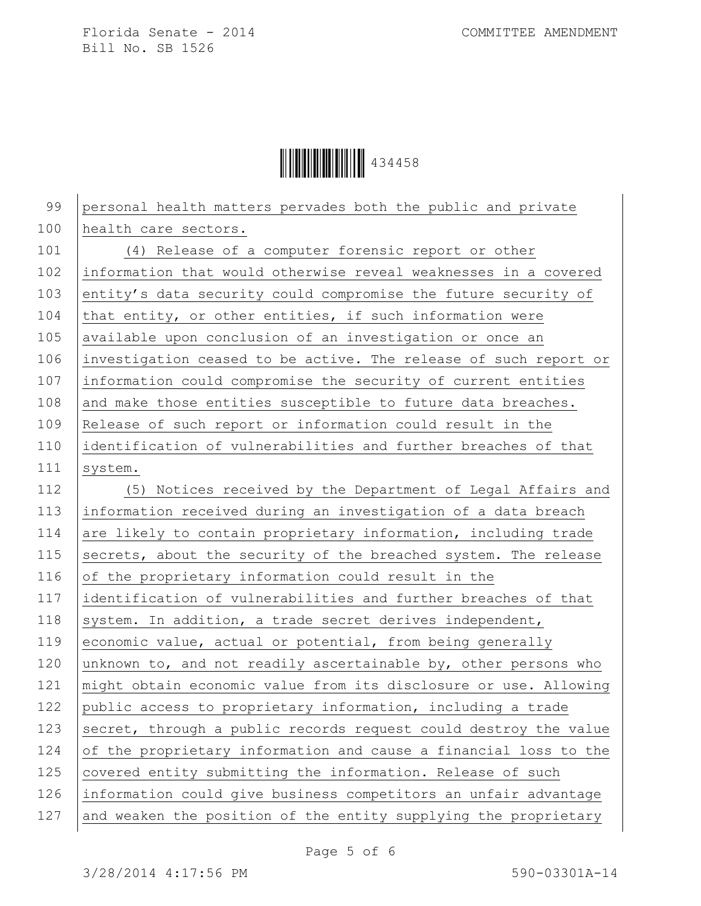Ì434458DÎ434458

| 99  | personal health matters pervades both the public and private     |
|-----|------------------------------------------------------------------|
| 100 | health care sectors.                                             |
| 101 | (4) Release of a computer forensic report or other               |
| 102 | information that would otherwise reveal weaknesses in a covered  |
| 103 | entity's data security could compromise the future security of   |
| 104 | that entity, or other entities, if such information were         |
| 105 | available upon conclusion of an investigation or once an         |
| 106 | investigation ceased to be active. The release of such report or |
| 107 | information could compromise the security of current entities    |
| 108 | and make those entities susceptible to future data breaches.     |
| 109 | Release of such report or information could result in the        |
| 110 | identification of vulnerabilities and further breaches of that   |
| 111 | system.                                                          |
| 112 | (5) Notices received by the Department of Legal Affairs and      |
| 113 | information received during an investigation of a data breach    |
| 114 | are likely to contain proprietary information, including trade   |
| 115 | secrets, about the security of the breached system. The release  |
| 116 | of the proprietary information could result in the               |
| 117 | identification of vulnerabilities and further breaches of that   |
| 118 | system. In addition, a trade secret derives independent,         |
| 119 | economic value, actual or potential, from being generally        |
| 120 | unknown to, and not readily ascertainable by, other persons who  |
| 121 | might obtain economic value from its disclosure or use. Allowing |
| 122 | public access to proprietary information, including a trade      |
| 123 | secret, through a public records request could destroy the value |
| 124 | of the proprietary information and cause a financial loss to the |
| 125 | covered entity submitting the information. Release of such       |
| 126 | information could give business competitors an unfair advantage  |
| 127 | and weaken the position of the entity supplying the proprietary  |